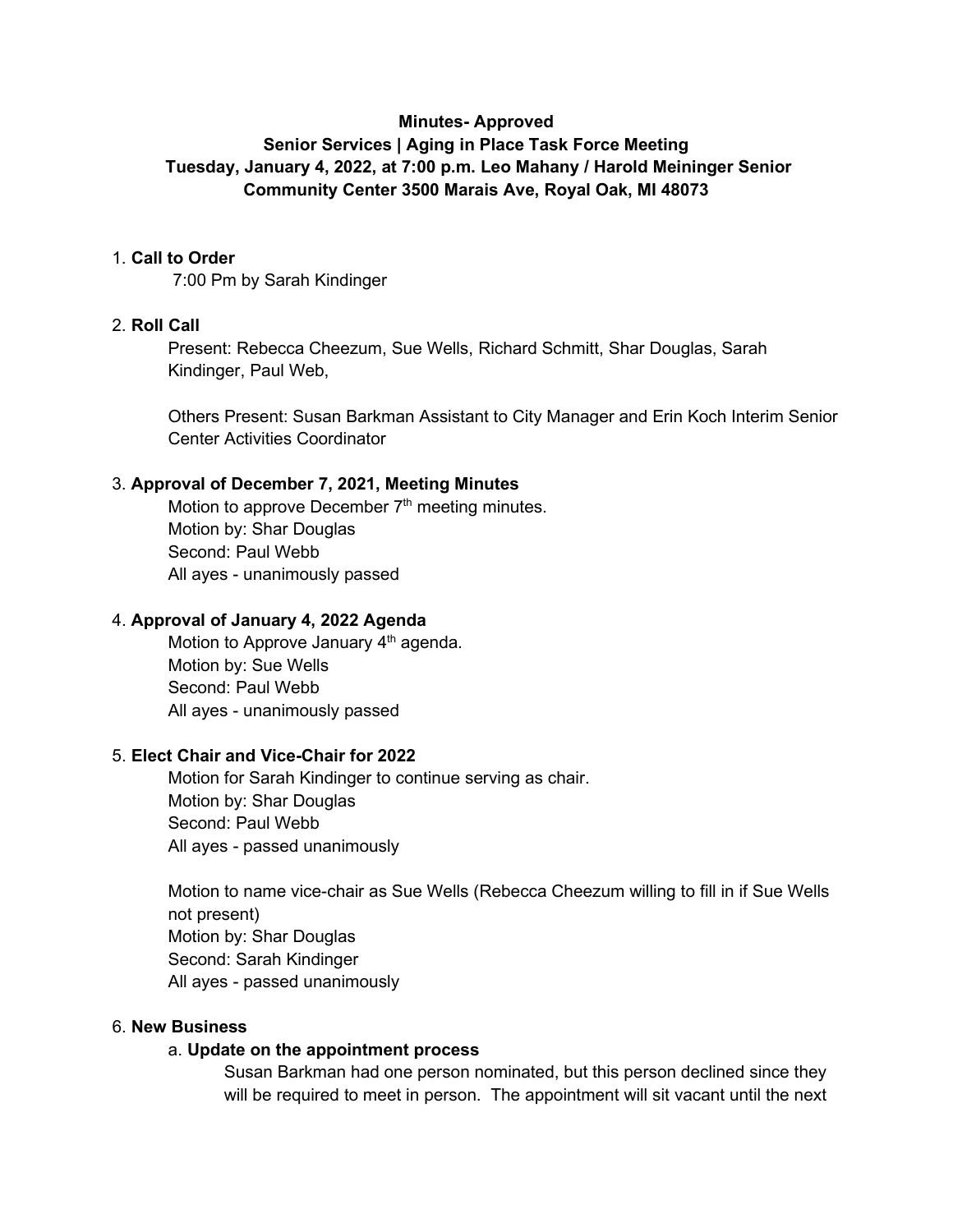## **Minutes- Approved**

# **Senior Services | Aging in Place Task Force Meeting Tuesday, January 4, 2022, at 7:00 p.m. Leo Mahany / Harold Meininger Senior Community Center 3500 Marais Ave, Royal Oak, MI 48073**

#### 1. **Call to Order**

7:00 Pm by Sarah Kindinger

## 2. **Roll Call**

Present: Rebecca Cheezum, Sue Wells, Richard Schmitt, Shar Douglas, Sarah Kindinger, Paul Web,

Others Present: Susan Barkman Assistant to City Manager and Erin Koch Interim Senior Center Activities Coordinator

## 3. **Approval of December 7, 2021, Meeting Minutes**

Motion to approve December  $7<sup>th</sup>$  meeting minutes. Motion by: Shar Douglas Second: Paul Webb All ayes - unanimously passed

## 4. **Approval of January 4, 2022 Agenda**

Motion to Approve January  $4<sup>th</sup>$  agenda. Motion by: Sue Wells Second: Paul Webb All ayes - unanimously passed

#### 5. **Elect Chair and Vice-Chair for 2022**

Motion for Sarah Kindinger to continue serving as chair. Motion by: Shar Douglas Second: Paul Webb All ayes - passed unanimously

Motion to name vice-chair as Sue Wells (Rebecca Cheezum willing to fill in if Sue Wells not present) Motion by: Shar Douglas Second: Sarah Kindinger All ayes - passed unanimously

#### 6. **New Business**

## a. **Update on the appointment process**

Susan Barkman had one person nominated, but this person declined since they will be required to meet in person. The appointment will sit vacant until the next